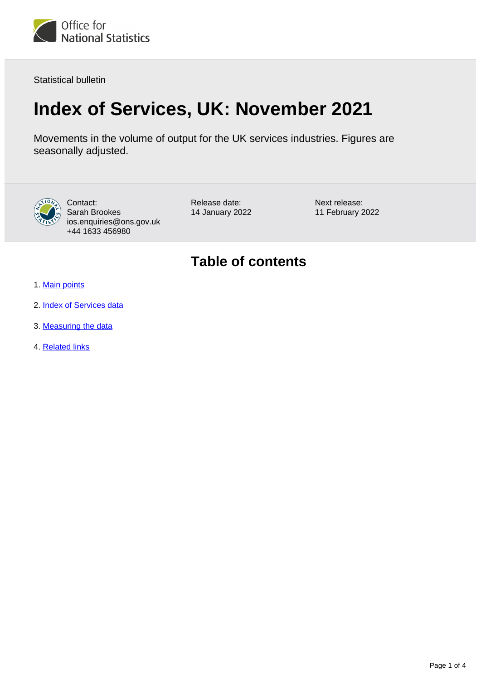

Statistical bulletin

# **Index of Services, UK: November 2021**

Movements in the volume of output for the UK services industries. Figures are seasonally adjusted.



Contact: Sarah Brookes ios.enquiries@ons.gov.uk +44 1633 456980

Release date: 14 January 2022 Next release: 11 February 2022

## **Table of contents**

- 1. [Main points](#page-1-0)
- 2. [Index of Services data](#page-1-1)
- 3. [Measuring the data](#page-1-2)
- 4. [Related links](#page-3-0)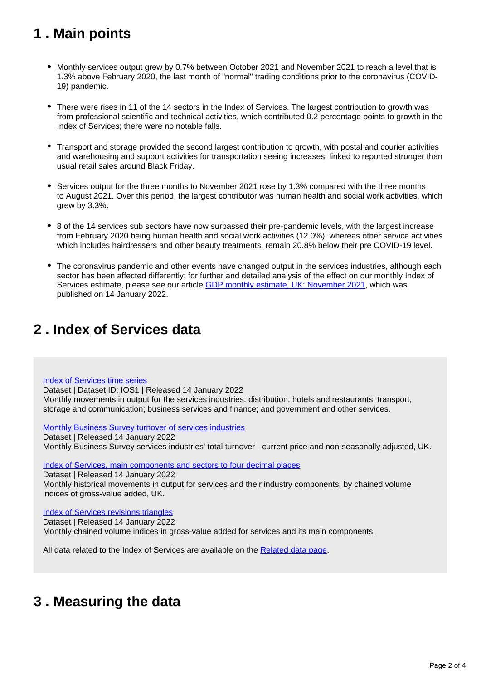## <span id="page-1-0"></span>**1 . Main points**

- Monthly services output grew by 0.7% between October 2021 and November 2021 to reach a level that is 1.3% above February 2020, the last month of "normal" trading conditions prior to the coronavirus (COVID-19) pandemic.
- There were rises in 11 of the 14 sectors in the Index of Services. The largest contribution to growth was from professional scientific and technical activities, which contributed 0.2 percentage points to growth in the Index of Services; there were no notable falls.
- Transport and storage provided the second largest contribution to growth, with postal and courier activities and warehousing and support activities for transportation seeing increases, linked to reported stronger than usual retail sales around Black Friday.
- Services output for the three months to November 2021 rose by 1.3% compared with the three months to August 2021. Over this period, the largest contributor was human health and social work activities, which grew by 3.3%.
- 8 of the 14 services sub sectors have now surpassed their pre-pandemic levels, with the largest increase from February 2020 being human health and social work activities (12.0%), whereas other service activities which includes hairdressers and other beauty treatments, remain 20.8% below their pre COVID-19 level.
- The coronavirus pandemic and other events have changed output in the services industries, although each sector has been affected differently; for further and detailed analysis of the effect on our monthly Index of Services estimate, please see our article [GDP monthly estimate, UK: November 2021](https://www.ons.gov.uk/releases/gdpmonthlyestimateukNovember2021), which was published on 14 January 2022.

## <span id="page-1-1"></span>**2 . Index of Services data**

#### [Index of Services time series](https://www.ons.gov.uk/economy/economicoutputandproductivity/output/datasets/indexofservices)

Dataset | Dataset ID: IOS1 | Released 14 January 2022 Monthly movements in output for the services industries: distribution, hotels and restaurants; transport, storage and communication; business services and finance; and government and other services.

[Monthly Business Survey turnover of services industries](https://www.ons.gov.uk/economy/economicoutputandproductivity/output/datasets/monthlybusinesssurveymbsturnoverofservicesindustries)

Dataset | Released 14 January 2022 Monthly Business Survey services industries' total turnover - current price and non-seasonally adjusted, UK.

[Index of Services, main components and sectors to four decimal places](https://www.ons.gov.uk/economy/economicoutputandproductivity/output/datasets/indexofservicesandmaincomponentsto4dp)

Dataset | Released 14 January 2022

Monthly historical movements in output for services and their industry components, by chained volume indices of gross-value added, UK.

### [Index of Services revisions triangles](https://www.ons.gov.uk/economy/economicoutputandproductivity/output/datasets/indexofservicesrevisionstriangles)

Dataset | Released 14 January 2022 Monthly chained volume indices in gross-value added for services and its main components.

All data related to the Index of Services are available on the [Related data page.](https://www.ons.gov.uk/economy/economicoutputandproductivity/output/bulletins/indexofservices/november2021/relateddata)

## <span id="page-1-2"></span>**3 . Measuring the data**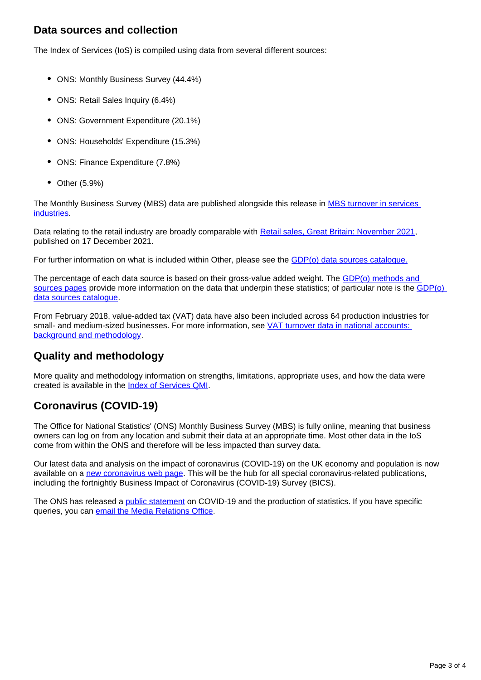### **Data sources and collection**

The Index of Services (IoS) is compiled using data from several different sources:

- ONS: Monthly Business Survey (44.4%)
- ONS: Retail Sales Inquiry (6.4%)
- ONS: Government Expenditure (20.1%)
- ONS: Households' Expenditure (15.3%)
- ONS: Finance Expenditure (7.8%)
- Other (5.9%)

The Monthly Business Survey (MBS) data are published alongside this release in MBS turnover in services **industries** 

Data relating to the retail industry are broadly comparable with [Retail sales, Great Britain: November 2021,](https://www.ons.gov.uk/businessindustryandtrade/retailindustry/bulletins/retailsales/november2021) published on 17 December 2021.

For further information on what is included within Other, please see the **GDP(o)** data sources catalogue.

The percentage of each data source is based on their gross-value added weight. The [GDP\(o\) methods and](https://www.ons.gov.uk/economy/economicoutputandproductivity/output/methodologies/indexofservicesios)  [sources pages](https://www.ons.gov.uk/economy/economicoutputandproductivity/output/methodologies/indexofservicesios) provide more information on the data that underpin these statistics; of particular note is the GDP(o) [data sources catalogue](https://www.ons.gov.uk/economy/grossdomesticproductgdp/datasets/gdpodatasourcescatalogue).

From February 2018, value-added tax (VAT) data have also been included across 64 production industries for small- and medium-sized businesses. For more information, see VAT turnover data in national accounts: [background and methodology.](https://www.ons.gov.uk/economy/grossdomesticproductgdp/methodologies/vatturnoverdatainnationalaccountsbackgroundandmethodology)

### **Quality and methodology**

More quality and methodology information on strengths, limitations, appropriate uses, and how the data were created is available in the [Index of Services QMI.](https://www.ons.gov.uk/economy/nationalaccounts/uksectoraccounts/methodologies/indexofservicesqmi)

### **Coronavirus (COVID-19)**

The Office for National Statistics' (ONS) Monthly Business Survey (MBS) is fully online, meaning that business owners can log on from any location and submit their data at an appropriate time. Most other data in the IoS come from within the ONS and therefore will be less impacted than survey data.

Our latest data and analysis on the impact of coronavirus (COVID-19) on the UK economy and population is now available on a [new coronavirus web page.](https://www.ons.gov.uk/peoplepopulationandcommunity/healthandsocialcare/conditionsanddiseases) This will be the hub for all special coronavirus-related publications, including the fortnightly Business Impact of Coronavirus (COVID-19) Survey (BICS).

The ONS has released a [public statement](https://www.ons.gov.uk/news/statementsandletters/covid19andtheproductionofstatistics) on COVID-19 and the production of statistics. If you have specific queries, you can [email the Media Relations Office.](mailto:media.relations@ons.gov.uk)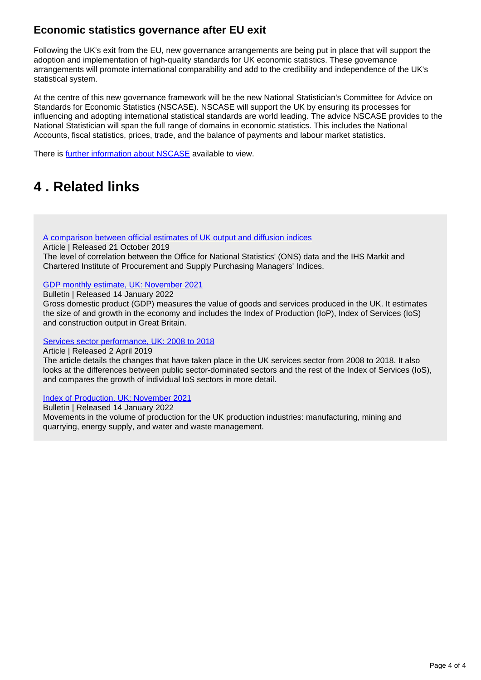### **Economic statistics governance after EU exit**

Following the UK's exit from the EU, new governance arrangements are being put in place that will support the adoption and implementation of high-quality standards for UK economic statistics. These governance arrangements will promote international comparability and add to the credibility and independence of the UK's statistical system.

At the centre of this new governance framework will be the new National Statistician's Committee for Advice on Standards for Economic Statistics (NSCASE). NSCASE will support the UK by ensuring its processes for influencing and adopting international statistical standards are world leading. The advice NSCASE provides to the National Statistician will span the full range of domains in economic statistics. This includes the National Accounts, fiscal statistics, prices, trade, and the balance of payments and labour market statistics.

There is **[further information about NSCASE](https://uksa.statisticsauthority.gov.uk/news/vacancy-chair-to-the-committee-nscase/)** available to view.

## <span id="page-3-0"></span>**4 . Related links**

#### [A comparison between official estimates of UK output and diffusion indices](https://www.ons.gov.uk/economy/nationalaccounts/uksectoraccounts/compendium/economicreview/october2019/comparingonsseconomicdatawithihsmarkitandcipspurchasingmanagersindexsurveys)

Article | Released 21 October 2019

The level of correlation between the Office for National Statistics' (ONS) data and the IHS Markit and Chartered Institute of Procurement and Supply Purchasing Managers' Indices.

### [GDP monthly estimate, UK: November 2021](https://www.ons.gov.uk/releases/gdpmonthlyestimateuknovember2021)

Bulletin | Released 14 January 2022

Gross domestic product (GDP) measures the value of goods and services produced in the UK. It estimates the size of and growth in the economy and includes the Index of Production (IoP), Index of Services (IoS) and construction output in Great Britain.

#### [Services sector performance, UK: 2008 to 2018](https://www.ons.gov.uk/economy/economicoutputandproductivity/output/articles/servicessectoruk/2008to2018)

Article | Released 2 April 2019

The article details the changes that have taken place in the UK services sector from 2008 to 2018. It also looks at the differences between public sector-dominated sectors and the rest of the Index of Services (IoS), and compares the growth of individual IoS sectors in more detail.

### [Index of Production, UK: November 2021](https://www.ons.gov.uk/economy/economicoutputandproductivity/output/bulletins/indexofproduction/november2021)

Bulletin | Released 14 January 2022 Movements in the volume of production for the UK production industries: manufacturing, mining and quarrying, energy supply, and water and waste management.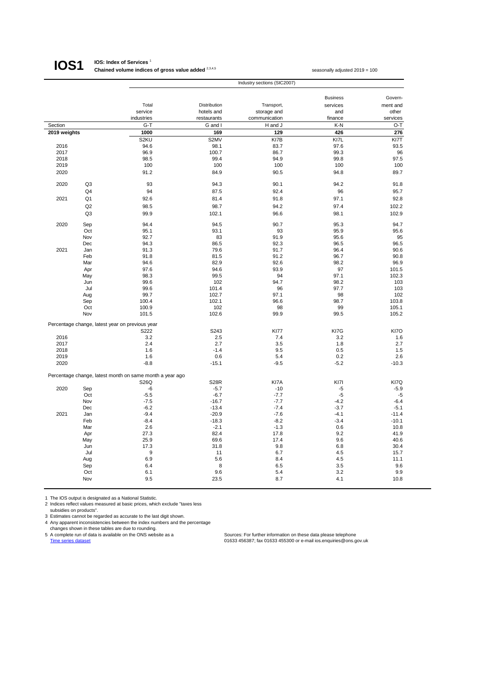### **IOS1**

#### **IOS: Index of Services** <sup>1</sup> **Chained volume indices of gross value added** <sup>2,3,4,5</sup> seasonally adjusted 2019 = 100

|              |                | Industry sections (SIC2007)                              |                    |                  |                  |                    |  |
|--------------|----------------|----------------------------------------------------------|--------------------|------------------|------------------|--------------------|--|
|              |                |                                                          |                    |                  |                  |                    |  |
|              |                |                                                          |                    |                  | <b>Business</b>  | Govern-            |  |
|              |                | Total                                                    | Distribution       | Transport,       | services         | ment and           |  |
|              |                | service                                                  | hotels and         | storage and      | and              | other              |  |
|              |                | industries                                               | restaurants        | communication    | finance          | services           |  |
| Section      |                | $G-T$                                                    | G and I            | H and J          | K-N              | $O-T$              |  |
| 2019 weights |                | 1000                                                     | 169                | 129              | 426              | 276                |  |
|              |                | S2KU                                                     | S2MV               | KI7B             | KI7L             | KI7T               |  |
| 2016         |                | 94.6                                                     | 98.1               | 83.7             | 97.6             | 93.5               |  |
| 2017         |                | 96.9                                                     | 100.7              | 86.7             | 99.3             | 96                 |  |
| 2018<br>2019 |                | 98.5<br>100                                              | 99.4<br>100        | 94.9<br>100      | 99.8<br>100      | 97.5<br>100        |  |
| 2020         |                | 91.2                                                     | 84.9               | 90.5             | 94.8             | 89.7               |  |
|              |                |                                                          |                    |                  |                  |                    |  |
| 2020         | Q <sub>3</sub> | 93                                                       | 94.3               | 90.1             | 94.2             | 91.8               |  |
|              | Q4             | 94                                                       | 87.5               | 92.4             | 96               | 95.7               |  |
| 2021         | Q1             | 92.6                                                     | 81.4               | 91.8             | 97.1             | 92.8               |  |
|              | Q <sub>2</sub> | 98.5                                                     | 98.7               | 94.2             | 97.4             | 102.2              |  |
|              | Q3             | 99.9                                                     | 102.1              | 96.6             | 98.1             | 102.9              |  |
| 2020         | Sep            | 94.4                                                     | 94.5               | 90.7             | 95.3             | 94.7               |  |
|              | Oct            | 95.1                                                     | 93.1               | 93               | 95.9             | 95.6               |  |
|              | Nov            | 92.7                                                     | 83                 | 91.9             | 95.6             | 95                 |  |
|              | Dec            | 94.3                                                     | 86.5               | 92.3             | 96.5             | 96.5               |  |
| 2021         | Jan            | 91.3                                                     | 79.6               | 91.7             | 96.4             | 90.6               |  |
|              | Feb            | 91.8                                                     | 81.5               | 91.2             | 96.7             | 90.8               |  |
|              | Mar            | 94.6                                                     | 82.9               | 92.6             | 98.2             | 96.9               |  |
|              | Apr            | 97.6                                                     | 94.6               | 93.9             | 97               | 101.5              |  |
|              | May<br>Jun     | 98.3<br>99.6                                             | 99.5<br>102        | 94<br>94.7       | 97.1<br>98.2     | 102.3<br>103       |  |
|              | Jul            | 99.6                                                     | 101.4              | 96               | 97.7             | 103                |  |
|              | Aug            | 99.7                                                     | 102.7              | 97.1             | 98               | 102                |  |
|              | Sep            | 100.4                                                    | 102.1              | 96.6             | 98.7             | 103.8              |  |
|              | Oct            | 100.9                                                    | 102                | 98               | 99               | 105.1              |  |
|              | Nov            | 101.5                                                    | 102.6              | 99.9             | 99.5             | 105.2              |  |
|              |                | Percentage change, latest year on previous year          |                    |                  |                  |                    |  |
|              |                | S222                                                     | S243               | <b>KI77</b>      | KI7G             | KI7O               |  |
| 2016         |                | 3.2                                                      | 2.5                | 7.4              | 3.2              | 1.6                |  |
| 2017         |                | 2.4                                                      | 2.7                | 3.5              | 1.8              | 2.7                |  |
| 2018         |                | 1.6                                                      | $-1.4$             | 9.5              | 0.5              | 1.5                |  |
| 2019         |                | 1.6                                                      | 0.6                | 5.4              | 0.2              | 2.6                |  |
| 2020         |                | $-8.8$                                                   | $-15.1$            | $-9.5$           | $-5.2$           | $-10.3$            |  |
|              |                | Percentage change, latest month on same month a year ago |                    |                  |                  |                    |  |
|              |                | S26Q                                                     | <b>S28R</b>        | KI7A             | KI7I             | KI7Q               |  |
| 2020         | Sep            | -6                                                       | $-5.7$             | $-10$            | $-5$             | $-5.9$             |  |
|              | Oct            | $-5.5$                                                   | $-6.7$             | $-7.7$           | $-5$             | $-5$               |  |
|              | Nov            | $-7.5$                                                   | $-16.7$            | $-7.7$           | $-4.2$           | $-6.4$             |  |
|              | Dec            | $-6.2$                                                   | $-13.4$            | $-7.4$           | $-3.7$           | $-5.1$             |  |
| 2021         | Jan<br>Feb     | $-9.4$<br>$-8.4$                                         | $-20.9$<br>$-18.3$ | $-7.6$<br>$-8.2$ | $-4.1$<br>$-3.4$ | $-11.4$<br>$-10.1$ |  |
|              | Mar            | 2.6                                                      | $-2.1$             | $-1.3$           | 0.6              | 10.8               |  |
|              | Apr            | 27.3                                                     | 82.4               | 17.8             | 9.2              | 41.9               |  |
|              | May            | 25.9                                                     | 69.6               | 17.4             | 9.6              | 40.6               |  |
|              | Jun            | 17.3                                                     | 31.8               | 9.8              | 6.8              | 30.4               |  |
|              | Jul            | 9                                                        | 11                 | 6.7              | 4.5              | 15.7               |  |
|              | Aug            | 6.9                                                      | 5.6                | 8.4              | 4.5              | 11.1               |  |
|              | Sep            | 6.4                                                      | 8                  | 6.5              | 3.5              | 9.6                |  |
|              | Oct            | 6.1                                                      | 9.6                | 5.4              | 3.2              | 9.9                |  |
|              | Nov            | 9.5                                                      | 23.5               | 8.7              | 4.1              | 10.8               |  |

1 The IOS output is designated as a National Statistic.

2 Indices reflect values measured at basic prices, which exclude "taxes less

subsidies on products".

3 Estimates cannot be regarded as accurate to the last digit shown.

4 Any apparent inconsistencies between the index numbers and the percentage<br> changes shown in these tables are due to rounding.<br>5 A complete run of data is available on the ONS website as a

Time series dataset dataset contract contract contract contract contract contract contract contract contract contract contract contract contract contract contract contract contract contract contract contract contract contr